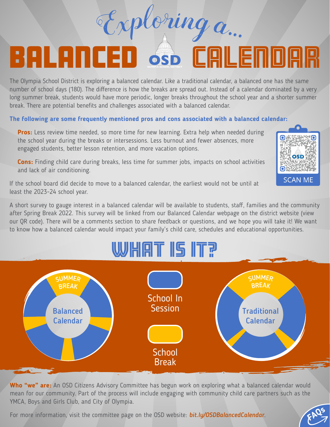### BALANCED S CALENDAR The Olympia School District is exploring a balanced calendar. Like a traditional calendar, a balanced one has the same number of school days (180). The difference is how the breaks are spread out. Instead of a calendar dominated by a very long summer break, students would have more periodic, longer breaks throughout the school year and a shorter summer

<sup>E</sup>xplori<sup>n</sup><sup>g</sup> <sup>a</sup>...

break. There are potential benefits and challenges associated with a balanced calendar.

#### **The following are some frequently mentioned pros and cons associated with a balanced calendar:**

**Pros:** Less review time needed, so more time for new learning. Extra help when needed during the school year during the breaks or intersessions. Less burnout and fewer absences, more engaged students, better lesson retention, and more vacation options.

**Cons:** Finding child care during breaks, less time for summer jobs, impacts on school activities and lack of air conditioning.

If the school board did decide to move to a balanced calendar, the earliest would not be until at least the 2023-24 school year.

A short survey to gauge interest in a balanced calendar will be available to students, staff, families and the community after Spring Break 2022. This survey will be linked from our Balanced Calendar webpage on the district website (view our QR code). There will be a comments section to share feedback or questions, and we hope you will take it! We want to know how a balanced calendar would impact your family's child care, schedules and educational opportunities.

## WHAT IS IT?



**Who "we" are:** An OSD Citizens Advisory Committee has begun work on exploring what a balanced calendar would mean for our community. Part of the process will include engaging with community child care partners such as the YMCA, Boys and Girls Club, and City of Olympia.

For more information, visit the committee page on the OSD website: **bit.ly/OSDBalancedCalendar**.